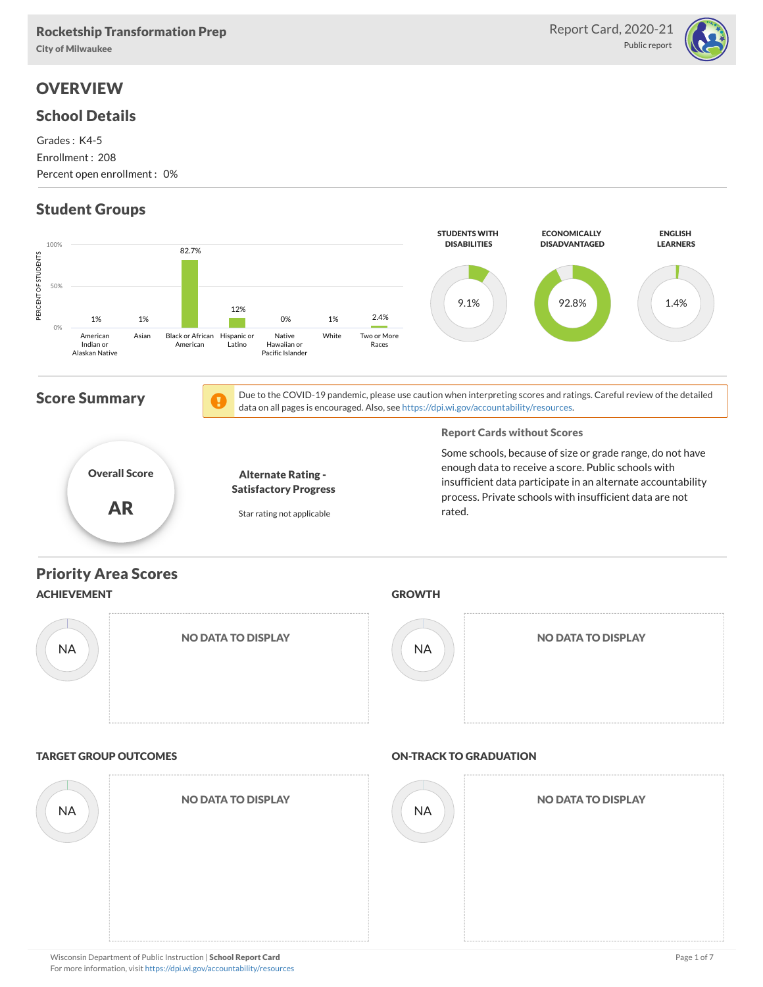#### Rocketship Transformation Prep

For more information, visit <https://dpi.wi.gov/accountability/resources>

City of Milwaukee

## **OVERVIEW**

#### School Details

Grades : K4-5 Enrollment : 208 Percent open enrollment : 0%

## Student Groups



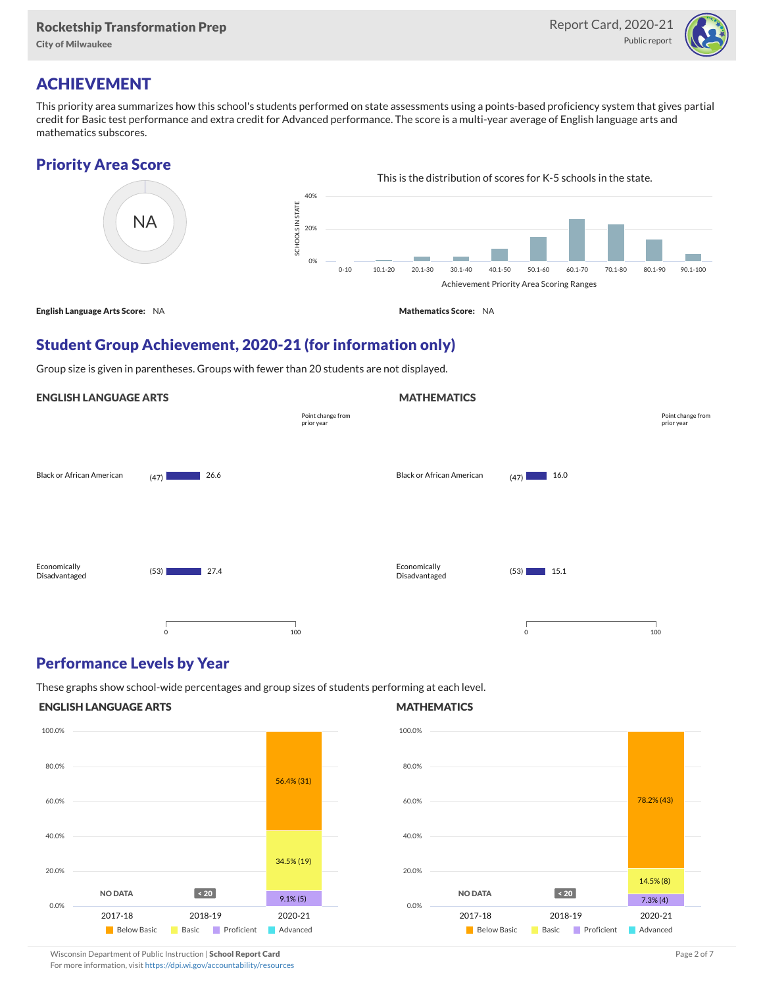City of Milwaukee



## ACHIEVEMENT

This priority area summarizes how this school's students performed on state assessments using a points-based proficiency system that gives partial credit for Basic test performance and extra credit for Advanced performance. The score is a multi-year average of English language arts and mathematics subscores.

#### Priority Area Score



### Student Group Achievement, 2020-21 (for information only)

Group size is given in parentheses. Groups with fewer than 20 students are not displayed.

#### ENGLISH LANGUAGE ARTS

|                                  |                     | Point change from<br>prior year |                               |                                                                                                                                      | Point change from<br>prior year |
|----------------------------------|---------------------|---------------------------------|-------------------------------|--------------------------------------------------------------------------------------------------------------------------------------|---------------------------------|
| <b>Black or African American</b> | 26.6<br>(47)        |                                 | Black or African American     | 16.0<br>(47)                                                                                                                         |                                 |
| Economically<br>Disadvantaged    | 27.4<br>(53)        |                                 | Economically<br>Disadvantaged | 15.1<br>(53)<br><b>Contract Contract Contract Contract Contract Contract Contract Contract Contract Contract Contract Contract C</b> |                                 |
|                                  | $\mathsf{O}\xspace$ | 100                             |                               | $\mathbf 0$<br>100                                                                                                                   |                                 |

#### Performance Levels by Year

These graphs show school-wide percentages and group sizes of students performing at each level.

#### ENGLISH LANGUAGE ARTS



#### MATHEMATICS

**MATHEMATICS** 



Wisconsin Department of Public Instruction | School Report Card Page 2 of 7 and 2008 and 2009 and 2 of 7 and 2 of 7

For more information, visit <https://dpi.wi.gov/accountability/resources>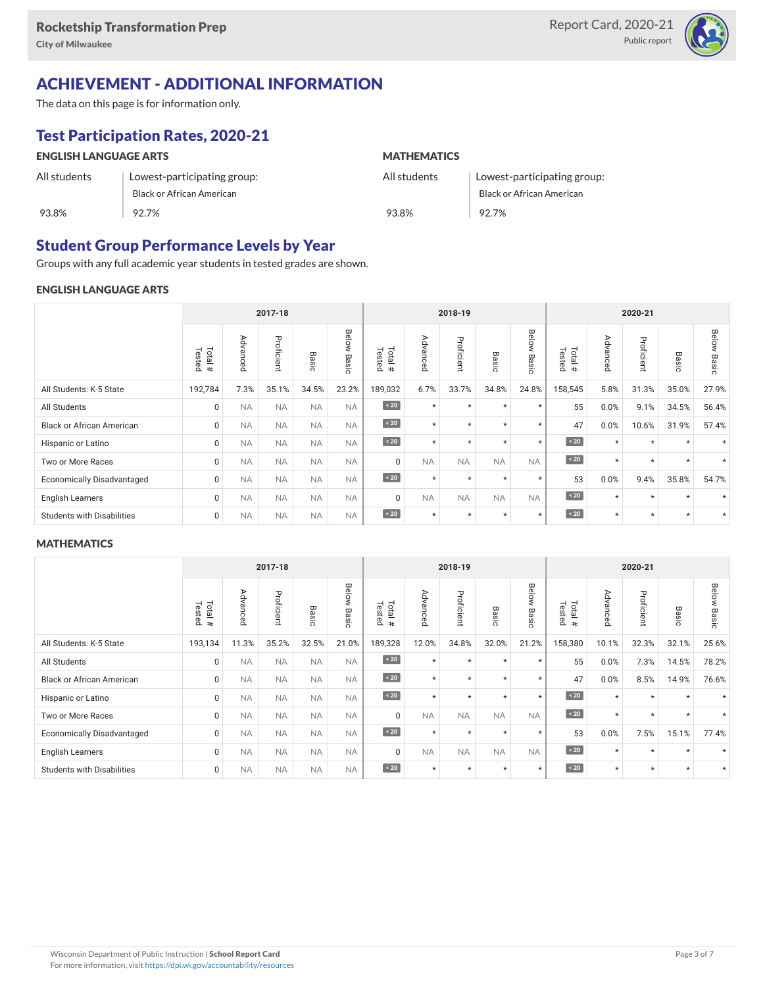

# ACHIEVEMENT - ADDITIONAL INFORMATION

The data on this page is for information only.

# Test Participation Rates, 2020-21

| <b>ENGLISH LANGUAGE ARTS</b> |                             | <b>MATHEMATICS</b> |                             |  |  |  |
|------------------------------|-----------------------------|--------------------|-----------------------------|--|--|--|
| All students                 | Lowest-participating group: | All students       | Lowest-participating group: |  |  |  |
|                              | Black or African American   |                    | Black or African American   |  |  |  |
| 93.8%                        | 92.7%                       | 93.8%              | 92.7%                       |  |  |  |

### Student Group Performance Levels by Year

Groups with any full academic year students in tested grades are shown.

#### ENGLISH LANGUAGE ARTS

|                                   | 2017-18           |           |            |           |                |                   |           | 2018-19    |                 |                | 2020-21              |                                             |            |                 |                |
|-----------------------------------|-------------------|-----------|------------|-----------|----------------|-------------------|-----------|------------|-----------------|----------------|----------------------|---------------------------------------------|------------|-----------------|----------------|
|                                   | Tested<br>Total # | Advanced  | Proficient | Basic     | Below<br>Basic | Total #<br>Tested | Advanced  | Proficient | Basi<br>$\circ$ | Below<br>Basic | Tested<br>Total<br># | ⋗<br>evb.<br>Б<br>O<br>$\sigma$<br>$\Omega$ | Proficient | Basi<br>$\circ$ | Below<br>Basic |
| All Students: K-5 State           | 192,784           | 7.3%      | 35.1%      | 34.5%     | 23.2%          | 189,032           | 6.7%      | 33.7%      | 34.8%           | 24.8%          | 158,545              | 5.8%                                        | 31.3%      | 35.0%           | 27.9%          |
| All Students                      | 0                 | <b>NA</b> | <b>NA</b>  | <b>NA</b> | <b>NA</b>      | $\sim 20$         | $\star$   | $\star$    | $\star$         | $\star$        | 55                   | 0.0%                                        | 9.1%       | 34.5%           | 56.4%          |
| <b>Black or African American</b>  | 0                 | <b>NA</b> | <b>NA</b>  | <b>NA</b> | <b>NA</b>      | $\angle 20$       | $\star$   | $\star$    | $\star$         | $\star$        | 47                   | 0.0%                                        | 10.6%      | 31.9%           | 57.4%          |
| Hispanic or Latino                | 0                 | <b>NA</b> | <b>NA</b>  | <b>NA</b> | <b>NA</b>      | $\sim 20$         | $\star$   | $\star$    | $\star$         | $\star$        | $\sim 20$            | $\star$                                     | $\star$    | $\star$         |                |
| Two or More Races                 | 0                 | <b>NA</b> | <b>NA</b>  | <b>NA</b> | <b>NA</b>      | $\Omega$          | <b>NA</b> | <b>NA</b>  | <b>NA</b>       | <b>NA</b>      | $\angle 20$          | $\star$                                     | $\star$    | $\star$         | $\star$        |
| <b>Economically Disadvantaged</b> | 0                 | <b>NA</b> | <b>NA</b>  | <b>NA</b> | <b>NA</b>      | $\angle 20$       | $\star$   | $\star$    | $\star$         | $\star$        | 53                   | 0.0%                                        | 9.4%       | 35.8%           | 54.7%          |
| <b>English Learners</b>           | 0                 | <b>NA</b> | <b>NA</b>  | <b>NA</b> | <b>NA</b>      | $\mathbf 0$       | <b>NA</b> | <b>NA</b>  | <b>NA</b>       | <b>NA</b>      | $\sim 20$            | $\star$                                     | $\star$    | $\star$         |                |
| <b>Students with Disabilities</b> | 0                 | <b>NA</b> | <b>NA</b>  | <b>NA</b> | <b>NA</b>      | $\angle 20$       | $\star$   | $\star$    | $\star$         | $\star$        | $\sim 20$            | $\star$                                     | $\star$    | $\star$         | $\star$        |

#### **MATHEMATICS**

| 2017-18                           |                  |             |            |           |                |                   |           | 2018-19    |                                       |                    | 2020-21              |                              |                |            |                          |
|-----------------------------------|------------------|-------------|------------|-----------|----------------|-------------------|-----------|------------|---------------------------------------|--------------------|----------------------|------------------------------|----------------|------------|--------------------------|
|                                   | Total#<br>Tested | Advanc<br>Ä | Proficient | Basic     | Below<br>Basic | Total #<br>Tested | Advanced  | Proficient | 59<br>$\bar{c}$<br>$\overline{\circ}$ | Belo<br>₹<br>Basic | Tested<br>Total<br># | ΡÁ<br>ΣÑ<br>∍<br>C<br>Œ<br>ö | Profici<br>eur | Вã<br>isic | Below<br>Basi<br>$\circ$ |
| All Students: K-5 State           | 193,134          | 11.3%       | 35.2%      | 32.5%     | 21.0%          | 189,328           | 12.0%     | 34.8%      | 32.0%                                 | 21.2%              | 158,380              | 10.1%                        | 32.3%          | 32.1%      | 25.6%                    |
| All Students                      | 0                | <b>NA</b>   | <b>NA</b>  | <b>NA</b> | <b>NA</b>      | $\sim 20$         | $\star$   | $\star$    | $\star$                               | $\star$            | 55                   | 0.0%                         | 7.3%           | 14.5%      | 78.2%                    |
| <b>Black or African American</b>  | $\Omega$         | <b>NA</b>   | <b>NA</b>  | <b>NA</b> | <b>NA</b>      | $\angle 20$       | $\star$   | $\star$    | $\star$                               | $\star$            | 47                   | 0.0%                         | 8.5%           | 14.9%      | 76.6%                    |
| Hispanic or Latino                | 0                | <b>NA</b>   | <b>NA</b>  | <b>NA</b> | <b>NA</b>      | $\sim 20$         | $\star$   | $\star$    | $\star$                               | $\star$            | $\sim 20$            | $\star$                      | $\star$        | $\star$    |                          |
| Two or More Races                 | $\Omega$         | <b>NA</b>   | <b>NA</b>  | <b>NA</b> | <b>NA</b>      | $\Omega$          | <b>NA</b> | <b>NA</b>  | <b>NA</b>                             | <b>NA</b>          | $\angle 20$          | $\star$                      | $\star$        | $\star$    | $\star$                  |
| <b>Economically Disadvantaged</b> | $\Omega$         | <b>NA</b>   | <b>NA</b>  | <b>NA</b> | <b>NA</b>      | $\angle 20$       | $\star$   | $\star$    | $\star$                               | $\star$            | 53                   | 0.0%                         | 7.5%           | 15.1%      | 77.4%                    |
| <b>English Learners</b>           | $\Omega$         | <b>NA</b>   | <b>NA</b>  | <b>NA</b> | <b>NA</b>      | $\Omega$          | <b>NA</b> | <b>NA</b>  | <b>NA</b>                             | <b>NA</b>          | $\sim 20$            | $\star$                      | $\star$        | $\star$    |                          |
| <b>Students with Disabilities</b> | 0                | <b>NA</b>   | <b>NA</b>  | <b>NA</b> | <b>NA</b>      | $\sim 20$         | $\star$   | $\star$    | $\star$                               | $\star$            | $\sim 20$            | $\star$                      | $\star$        | $\star$    | $\star$                  |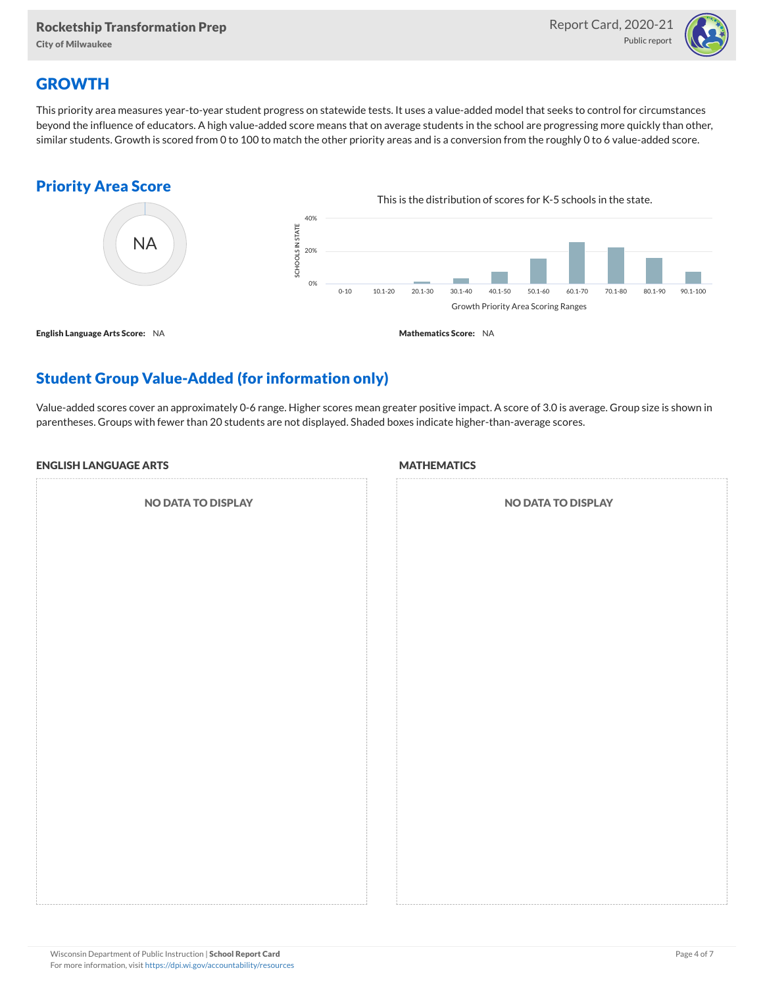City of Milwaukee



## **GROWTH**

This priority area measures year-to-year student progress on statewide tests. It uses a value-added model that seeks to control for circumstances beyond the influence of educators. A high value-added score means that on average students in the school are progressing more quickly than other, similar students. Growth is scored from 0 to 100 to match the other priority areas and is a conversion from the roughly 0 to 6 value-added score.

### Priority Area Score



## Student Group Value-Added (for information only)

Value-added scores cover an approximately 0-6 range. Higher scores mean greater positive impact. A score of 3.0 is average. Group size is shown in parentheses. Groups with fewer than 20 students are not displayed. Shaded boxes indicate higher-than-average scores.

#### ENGLISH LANGUAGE ARTS

NO DATA TO DISPLAY

#### **MATHEMATICS**

| <b>NO DATA TO DISPLAY</b> |  |  |  |  |  |  |  |
|---------------------------|--|--|--|--|--|--|--|
|                           |  |  |  |  |  |  |  |
|                           |  |  |  |  |  |  |  |
|                           |  |  |  |  |  |  |  |
|                           |  |  |  |  |  |  |  |
|                           |  |  |  |  |  |  |  |
|                           |  |  |  |  |  |  |  |
|                           |  |  |  |  |  |  |  |
|                           |  |  |  |  |  |  |  |
|                           |  |  |  |  |  |  |  |
|                           |  |  |  |  |  |  |  |
|                           |  |  |  |  |  |  |  |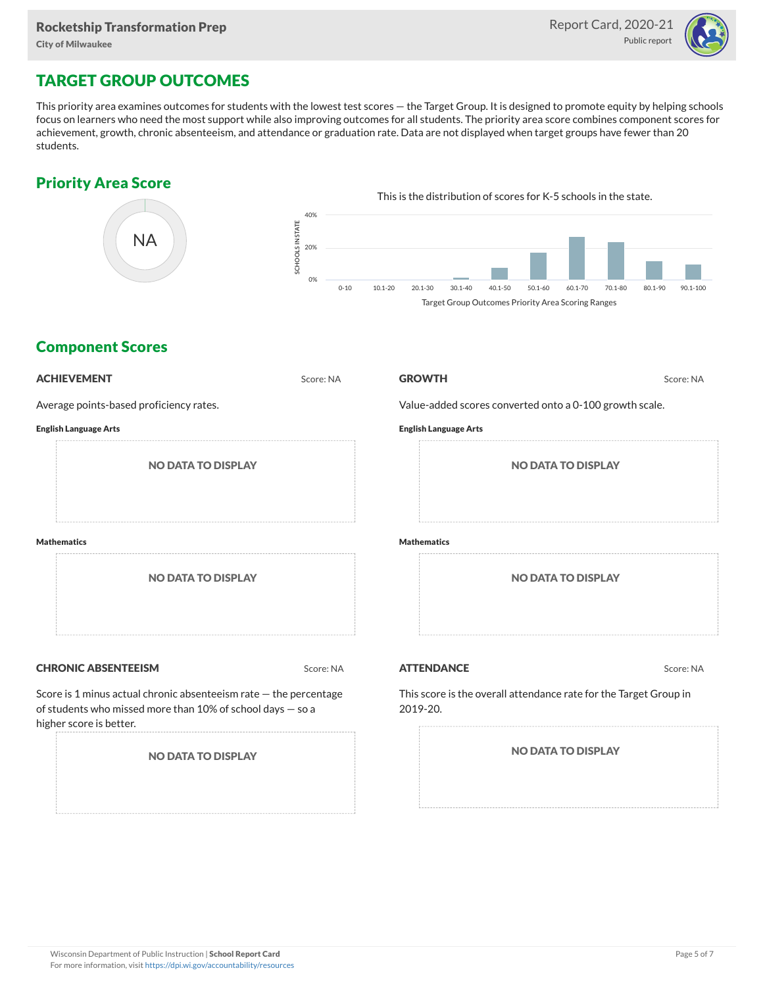

## TARGET GROUP OUTCOMES

This priority area examines outcomes for students with the lowest test scores — the Target Group. It is designed to promote equity by helping schools focus on learners who need the most support while also improving outcomes for all students. The priority area score combines component scores for achievement, growth, chronic absenteeism, and attendance or graduation rate. Data are not displayed when target groups have fewer than 20 students.

### Priority Area Score



### Component Scores

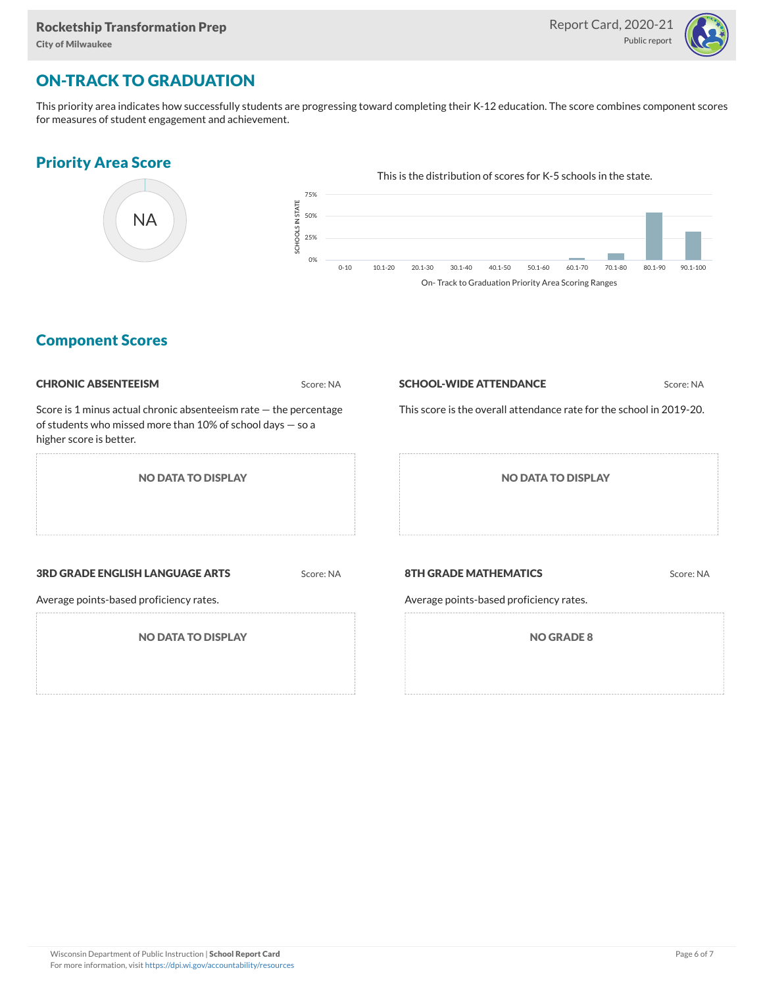

## ON-TRACK TO GRADUATION

This priority area indicates how successfully students are progressing toward completing their K-12 education. The score combines component scores for measures of student engagement and achievement.

#### Priority Area Score



### Component Scores

| <b>CHRONIC ABSENTEEISM</b>                                                                                                                                   | Score: NA | <b>SCHOOL-WIDE ATTENDANCE</b>                                        | Score: NA |  |  |  |  |
|--------------------------------------------------------------------------------------------------------------------------------------------------------------|-----------|----------------------------------------------------------------------|-----------|--|--|--|--|
| Score is 1 minus actual chronic absenteeism rate - the percentage<br>of students who missed more than 10% of school days $-$ so a<br>higher score is better. |           | This score is the overall attendance rate for the school in 2019-20. |           |  |  |  |  |
| <b>NO DATA TO DISPLAY</b>                                                                                                                                    |           | <b>NO DATA TO DISPLAY</b>                                            |           |  |  |  |  |
| <b>3RD GRADE ENGLISH LANGUAGE ARTS</b>                                                                                                                       | Score: NA | <b>8TH GRADE MATHEMATICS</b>                                         | Score: NA |  |  |  |  |
| Average points-based proficiency rates.                                                                                                                      |           | Average points-based proficiency rates.                              |           |  |  |  |  |
| <b>NO DATA TO DISPLAY</b>                                                                                                                                    |           | <b>NO GRADE 8</b>                                                    |           |  |  |  |  |